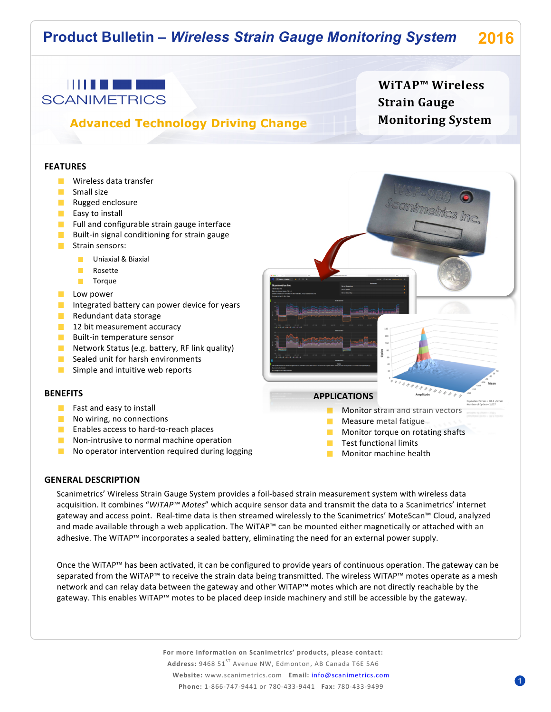# **Product Bulletin – Wireless Strain Gauge Monitoring System**



## **Advanced Technology Driving Change**

**WiTAP™ Wireless Strain Gauge Monitoring System**

### **FEATURES**

- $\blacksquare$  Wireless data transfer
- **Small size**
- Rugged enclosure
- $E$  Easy to install
- $\blacksquare$  Full and configurable strain gauge interface
- $\blacksquare$  Built-in signal conditioning for strain gauge
- Strain sensors:
	- **Uniaxial & Biaxial**
	- **The Contract** Rosette
	- **Torque**
- **Low** power
- Integrated battery can power device for years
- $\blacksquare$  Redundant data storage
- $\blacksquare$  12 bit measurement accuracy
- $\blacksquare$  Built-in temperature sensor
- Network Status (e.g. battery, RF link quality)
- $\blacksquare$  Sealed unit for harsh environments
- $\blacksquare$  Simple and intuitive web reports

#### **BENEFITS**

- $\blacksquare$  Fast and easy to install
- $\blacksquare$  No wiring, no connections
- **Enables access to hard-to-reach places**
- $\blacksquare$  Non-intrusive to normal machine operation
- $\blacksquare$  No operator intervention required during logging

#### **APPLICATIONS**

- Monitor strain and strain vectors Measure metal fatigue
- Monitor torque on rotating shafts
- $\blacksquare$  Test functional limits
- $\blacksquare$  Monitor machine health

### **GENERAL DESCRIPTION**

Scanimetrics' Wireless Strain Gauge System provides a foil-based strain measurement system with wireless data acquisition. It combines "WiTAP™ Motes" which acquire sensor data and transmit the data to a Scanimetrics' internet gateway and access point. Real-time data is then streamed wirelessly to the Scanimetrics' MoteScan™ Cloud, analyzed and made available through a web application. The WiTAP™ can be mounted either magnetically or attached with an adhesive. The WiTAP™ incorporates a sealed battery, eliminating the need for an external power supply.

Once the WiTAP™ has been activated, it can be configured to provide years of continuous operation. The gateway can be separated from the WiTAP™ to receive the strain data being transmitted. The wireless WiTAP™ motes operate as a mesh network and can relay data between the gateway and other WiTAP™ motes which are not directly reachable by the gateway. This enables WiTAP™ motes to be placed deep inside machinery and still be accessible by the gateway.

> For more information on Scanimetrics' products, please contact: Address: 9468 51<sup>ST</sup> Avenue NW, Edmonton, AB Canada T6E 5A6 Website: www.scanimetrics.com **Email:** info@scanimetrics.com **Phone:** 1-866-747-9441 or 780-433-9441 **Fax:** 780-433-9499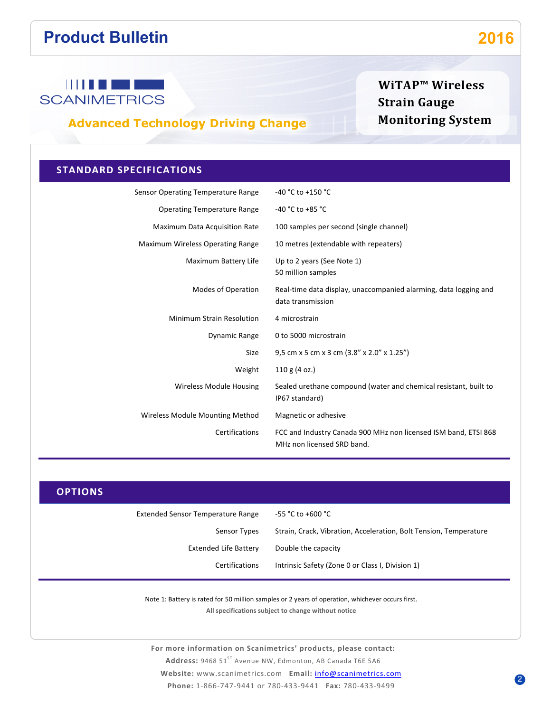# **Product Bulletin 2016**



## **Advanced Technology Driving Change**

## **STANDARD SPECIFICATIONS**

| Sensor Operating Temperature Range   | -40 °C to +150 °C                                                                             |
|--------------------------------------|-----------------------------------------------------------------------------------------------|
| <b>Operating Temperature Range</b>   | -40 °C to +85 °C                                                                              |
| <b>Maximum Data Acquisition Rate</b> | 100 samples per second (single channel)                                                       |
| Maximum Wireless Operating Range     | 10 metres (extendable with repeaters)                                                         |
| Maximum Battery Life                 | Up to 2 years (See Note 1)<br>50 million samples                                              |
| Modes of Operation                   | Real-time data display, unaccompanied alarming, data logging and<br>data transmission         |
| Minimum Strain Resolution            | 4 microstrain                                                                                 |
| Dynamic Range                        | 0 to 5000 microstrain                                                                         |
| <b>Size</b>                          | 9,5 cm x 5 cm x 3 cm (3.8" x 2.0" x 1.25")                                                    |
| Weight                               | 110 g (4 oz.)                                                                                 |
| Wireless Module Housing              | Sealed urethane compound (water and chemical resistant, built to<br>IP67 standard)            |
| Wireless Module Mounting Method      | Magnetic or adhesive                                                                          |
| <b>Certifications</b>                | FCC and Industry Canada 900 MHz non licensed ISM band, ETSI 868<br>MHz non licensed SRD band. |

## **OPTIONS**

| Extended Sensor Temperature Range | -55 °C to +600 °C                                                 |
|-----------------------------------|-------------------------------------------------------------------|
| Sensor Types                      | Strain, Crack, Vibration, Acceleration, Bolt Tension, Temperature |
| Extended Life Battery             | Double the capacity                                               |
| Certifications                    | Intrinsic Safety (Zone 0 or Class I, Division 1)                  |

Note 1: Battery is rated for 50 million samples or 2 years of operation, whichever occurs first.

All specifications subject to change without notice

For more information on Scanimetrics' products, please contact: Address: 9468 51<sup>ST</sup> Avenue NW, Edmonton, AB Canada T6E 5A6 Website: www.scanimetrics.com **Email:** info@scanimetrics.com **Phone:** 1-866-747-9441 or 780-433-9441 **Fax:** 780-433-9499

**WiTAP™ Wireless Strain Gauge Monitoring System**